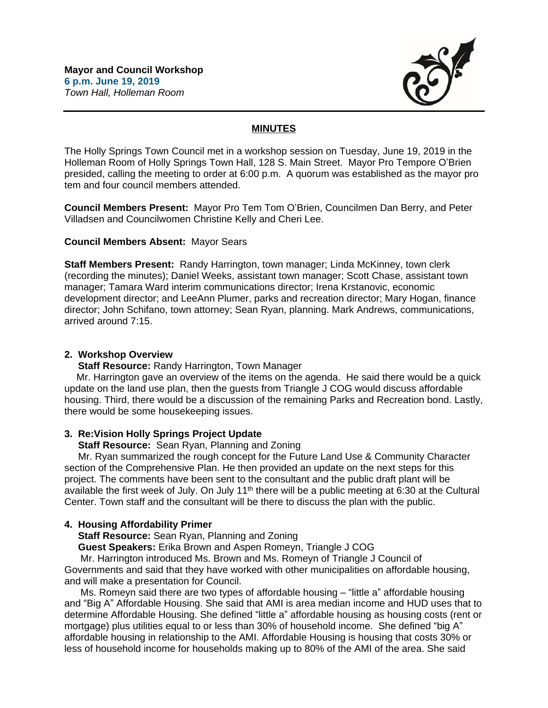

# **MINUTES**

The Holly Springs Town Council met in a workshop session on Tuesday, June 19, 2019 in the Holleman Room of Holly Springs Town Hall, 128 S. Main Street. Mayor Pro Tempore O'Brien presided, calling the meeting to order at 6:00 p.m. A quorum was established as the mayor pro tem and four council members attended.

**Council Members Present:** Mayor Pro Tem Tom O'Brien, Councilmen Dan Berry, and Peter Villadsen and Councilwomen Christine Kelly and Cheri Lee.

#### **Council Members Absent:** Mayor Sears

**Staff Members Present:** Randy Harrington, town manager; Linda McKinney, town clerk (recording the minutes); Daniel Weeks, assistant town manager; Scott Chase, assistant town manager; Tamara Ward interim communications director; Irena Krstanovic, economic development director; and LeeAnn Plumer, parks and recreation director; Mary Hogan, finance director; John Schifano, town attorney; Sean Ryan, planning. Mark Andrews, communications, arrived around 7:15.

#### **2. Workshop Overview**

**Staff Resource:** Randy Harrington, Town Manager

Mr. Harrington gave an overview of the items on the agenda. He said there would be a quick update on the land use plan, then the guests from Triangle J COG would discuss affordable housing. Third, there would be a discussion of the remaining Parks and Recreation bond. Lastly, there would be some housekeeping issues.

## **3. Re:Vision Holly Springs Project Update**

 **Staff Resource:** Sean Ryan, Planning and Zoning

 Mr. Ryan summarized the rough concept for the Future Land Use & Community Character section of the Comprehensive Plan. He then provided an update on the next steps for this project. The comments have been sent to the consultant and the public draft plant will be available the first week of July. On July 11<sup>th</sup> there will be a public meeting at 6:30 at the Cultural Center. Town staff and the consultant will be there to discuss the plan with the public.

## **4. Housing Affordability Primer**

 **Staff Resource:** Sean Ryan, Planning and Zoning

**Guest Speakers:** Erika Brown and Aspen Romeyn, Triangle J COG

Mr. Harrington introduced Ms. Brown and Ms. Romeyn of Triangle J Council of Governments and said that they have worked with other municipalities on affordable housing, and will make a presentation for Council.

Ms. Romeyn said there are two types of affordable housing – "little a" affordable housing and "Big A" Affordable Housing. She said that AMI is area median income and HUD uses that to determine Affordable Housing. She defined "little a" affordable housing as housing costs (rent or mortgage) plus utilities equal to or less than 30% of household income. She defined "big A" affordable housing in relationship to the AMI. Affordable Housing is housing that costs 30% or less of household income for households making up to 80% of the AMI of the area. She said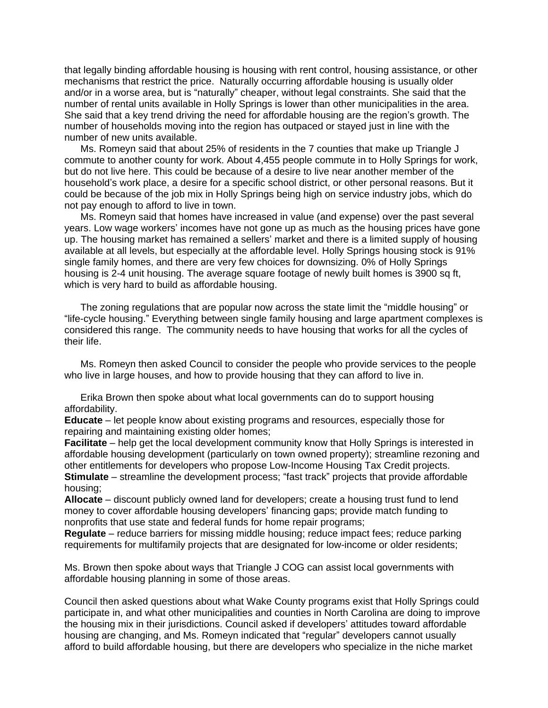that legally binding affordable housing is housing with rent control, housing assistance, or other mechanisms that restrict the price. Naturally occurring affordable housing is usually older and/or in a worse area, but is "naturally" cheaper, without legal constraints. She said that the number of rental units available in Holly Springs is lower than other municipalities in the area. She said that a key trend driving the need for affordable housing are the region's growth. The number of households moving into the region has outpaced or stayed just in line with the number of new units available.

Ms. Romeyn said that about 25% of residents in the 7 counties that make up Triangle J commute to another county for work. About 4,455 people commute in to Holly Springs for work, but do not live here. This could be because of a desire to live near another member of the household's work place, a desire for a specific school district, or other personal reasons. But it could be because of the job mix in Holly Springs being high on service industry jobs, which do not pay enough to afford to live in town.

Ms. Romeyn said that homes have increased in value (and expense) over the past several years. Low wage workers' incomes have not gone up as much as the housing prices have gone up. The housing market has remained a sellers' market and there is a limited supply of housing available at all levels, but especially at the affordable level. Holly Springs housing stock is 91% single family homes, and there are very few choices for downsizing. 0% of Holly Springs housing is 2-4 unit housing. The average square footage of newly built homes is 3900 sq ft, which is very hard to build as affordable housing.

The zoning regulations that are popular now across the state limit the "middle housing" or "life-cycle housing." Everything between single family housing and large apartment complexes is considered this range. The community needs to have housing that works for all the cycles of their life.

Ms. Romeyn then asked Council to consider the people who provide services to the people who live in large houses, and how to provide housing that they can afford to live in.

Erika Brown then spoke about what local governments can do to support housing affordability.

**Educate** – let people know about existing programs and resources, especially those for repairing and maintaining existing older homes;

**Facilitate** – help get the local development community know that Holly Springs is interested in affordable housing development (particularly on town owned property); streamline rezoning and other entitlements for developers who propose Low-Income Housing Tax Credit projects. **Stimulate** – streamline the development process; "fast track" projects that provide affordable housing;

**Allocate** – discount publicly owned land for developers; create a housing trust fund to lend money to cover affordable housing developers' financing gaps; provide match funding to nonprofits that use state and federal funds for home repair programs;

**Regulate** – reduce barriers for missing middle housing; reduce impact fees; reduce parking requirements for multifamily projects that are designated for low-income or older residents;

Ms. Brown then spoke about ways that Triangle J COG can assist local governments with affordable housing planning in some of those areas.

Council then asked questions about what Wake County programs exist that Holly Springs could participate in, and what other municipalities and counties in North Carolina are doing to improve the housing mix in their jurisdictions. Council asked if developers' attitudes toward affordable housing are changing, and Ms. Romeyn indicated that "regular" developers cannot usually afford to build affordable housing, but there are developers who specialize in the niche market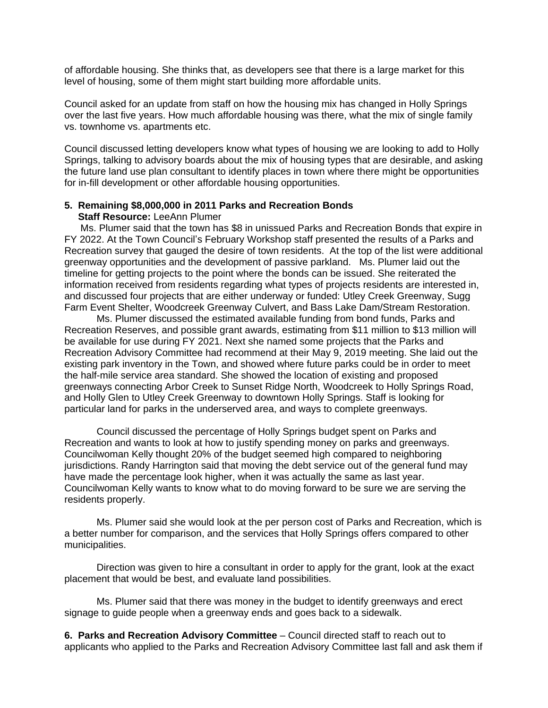of affordable housing. She thinks that, as developers see that there is a large market for this level of housing, some of them might start building more affordable units.

Council asked for an update from staff on how the housing mix has changed in Holly Springs over the last five years. How much affordable housing was there, what the mix of single family vs. townhome vs. apartments etc.

Council discussed letting developers know what types of housing we are looking to add to Holly Springs, talking to advisory boards about the mix of housing types that are desirable, and asking the future land use plan consultant to identify places in town where there might be opportunities for in-fill development or other affordable housing opportunities.

#### **5. Remaining \$8,000,000 in 2011 Parks and Recreation Bonds Staff Resource:** LeeAnn Plumer

Ms. Plumer said that the town has \$8 in unissued Parks and Recreation Bonds that expire in FY 2022. At the Town Council's February Workshop staff presented the results of a Parks and Recreation survey that gauged the desire of town residents. At the top of the list were additional greenway opportunities and the development of passive parkland. Ms. Plumer laid out the timeline for getting projects to the point where the bonds can be issued. She reiterated the information received from residents regarding what types of projects residents are interested in, and discussed four projects that are either underway or funded: Utley Creek Greenway, Sugg Farm Event Shelter, Woodcreek Greenway Culvert, and Bass Lake Dam/Stream Restoration.

Ms. Plumer discussed the estimated available funding from bond funds, Parks and Recreation Reserves, and possible grant awards, estimating from \$11 million to \$13 million will be available for use during FY 2021. Next she named some projects that the Parks and Recreation Advisory Committee had recommend at their May 9, 2019 meeting. She laid out the existing park inventory in the Town, and showed where future parks could be in order to meet the half-mile service area standard. She showed the location of existing and proposed greenways connecting Arbor Creek to Sunset Ridge North, Woodcreek to Holly Springs Road, and Holly Glen to Utley Creek Greenway to downtown Holly Springs. Staff is looking for particular land for parks in the underserved area, and ways to complete greenways.

Council discussed the percentage of Holly Springs budget spent on Parks and Recreation and wants to look at how to justify spending money on parks and greenways. Councilwoman Kelly thought 20% of the budget seemed high compared to neighboring jurisdictions. Randy Harrington said that moving the debt service out of the general fund may have made the percentage look higher, when it was actually the same as last year. Councilwoman Kelly wants to know what to do moving forward to be sure we are serving the residents properly.

Ms. Plumer said she would look at the per person cost of Parks and Recreation, which is a better number for comparison, and the services that Holly Springs offers compared to other municipalities.

Direction was given to hire a consultant in order to apply for the grant, look at the exact placement that would be best, and evaluate land possibilities.

Ms. Plumer said that there was money in the budget to identify greenways and erect signage to guide people when a greenway ends and goes back to a sidewalk.

**6. Parks and Recreation Advisory Committee** – Council directed staff to reach out to applicants who applied to the Parks and Recreation Advisory Committee last fall and ask them if